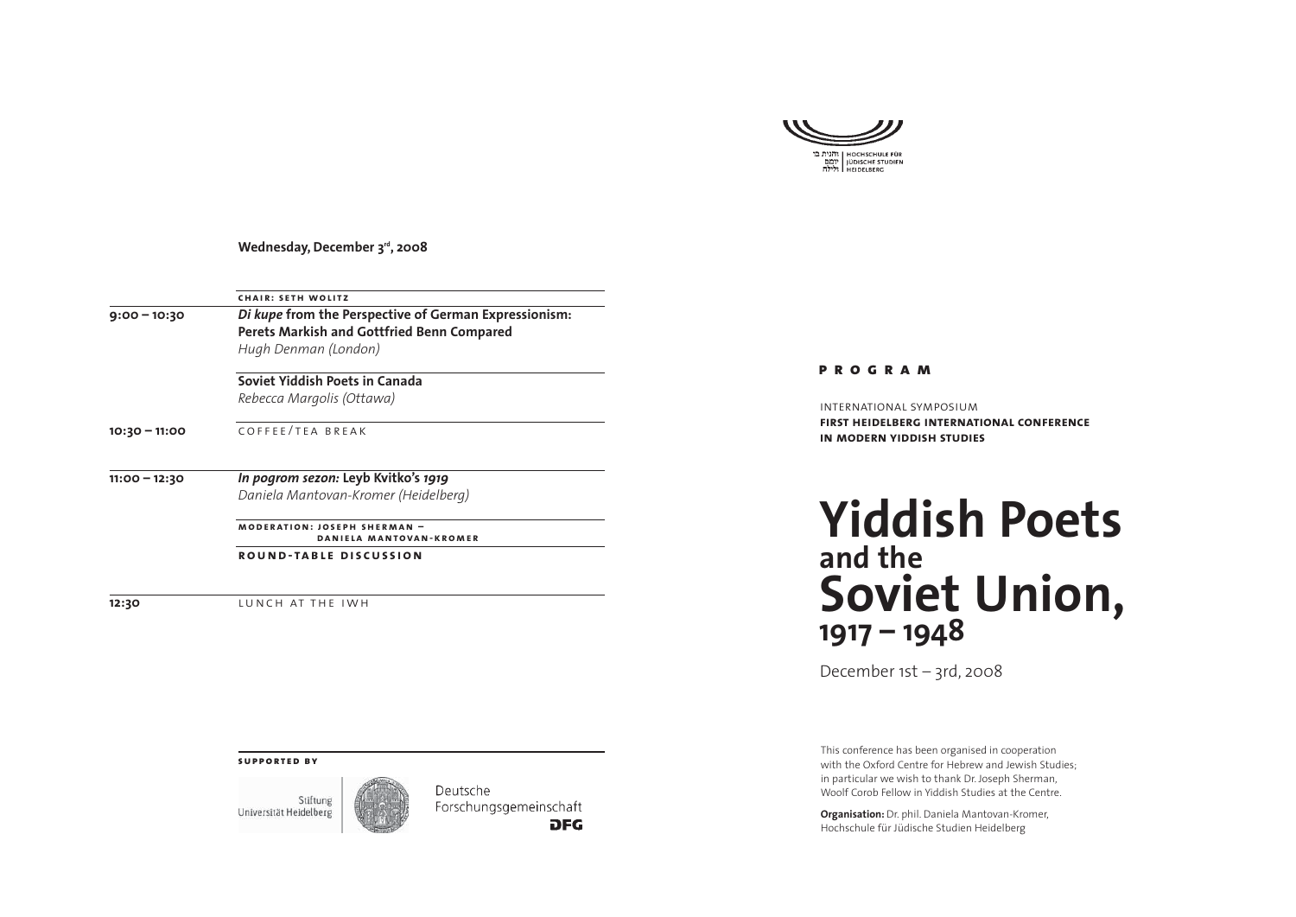

**Wednesday, December 3rd, 2008** 

| <b>CHAIR: SETH WOLITZ</b>                                                                                  |  |  |
|------------------------------------------------------------------------------------------------------------|--|--|
| Di kupe from the Perspective of German Expressionism:<br><b>Perets Markish and Gottfried Benn Compared</b> |  |  |
|                                                                                                            |  |  |
| Soviet Yiddish Poets in Canada                                                                             |  |  |
| Rebecca Margolis (Ottawa)                                                                                  |  |  |
| COFFFF/TFA BRFAK                                                                                           |  |  |
| In pogrom sezon: Leyb Kvitko's 1919                                                                        |  |  |
| Daniela Mantovan-Kromer (Heidelberg)                                                                       |  |  |
| <b>MODERATION: JOSEPH SHERMAN -</b><br>DANIELA MANTOVAN-KROMER                                             |  |  |
|                                                                                                            |  |  |

**12:30** LUNCH AT THE IWH

**program**

international symposium**first heidelberg international conference in modern yiddish studies**

## **Yiddish Poetsand theSoviet Union, 1917 – 1948**

December 1st – 3rd, 2008

This conference has been organised in cooperation with the Oxford Centre for Hebrew and Jewish Studies; in particular we wish to thank Dr. Joseph Sherman, Woolf Corob Fellow in Yiddish Studies at the Centre.

**Organisation:** Dr. phil. Daniela Mantovan-Kromer, Hochschule für Jüdische Studien Heidelberg

## **supported by**

Stiftung Universität Heidelberg



Deutsche Forschungsgemeinschaft **DFG**